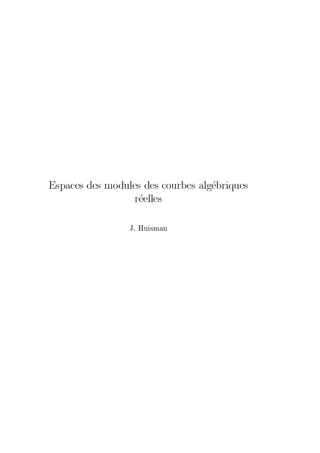# $Espaces des modules des courbes algébriques \label{eq:separable}$  $r$ éelles

J. Huisman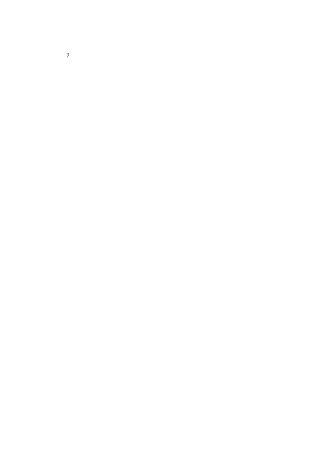$\overline{2}$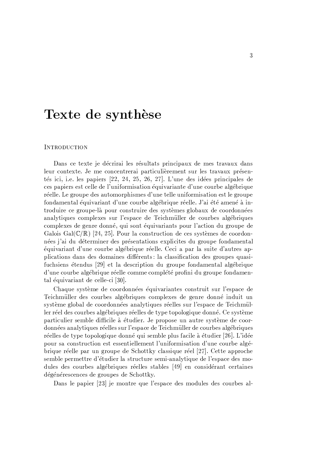# Texte de synthèse

# **INTRODUCTION**

Dans ce texte je décrirai les résultats principaux de mes travaux dans leur contexte. Je me concentrerai particulièrement sur les travaux présentés ici, i.e. les papiers [22, 24, 25, 26, 27]. L'une des idées principales de ces papiers est celle de l'uniformisation équivariante d'une courbe algébrique réelle. Le groupe des automorphismes d'une telle uniformisation est le groupe fondamental équivariant d'une courbe algébrique réelle. J'ai été amené à introduire ce groupe-là pour construire des systèmes globaux de coordonnées analytiques complexes sur l'espace de Teichmüller de courbes algébriques complexes de genre donné, qui sont équivariants pour l'action du groupe de Galois Gal $(\mathbb{C}/\mathbb{R})$  [24, 25]. Pour la construction de ces systèmes de coordonnées j'ai du déterminer des présentations explicites du groupe fondamental equivariant d'une courbe algébrique réelle. Ceci a par la suite d'autres applications dans des domaines différents : la classification des groupes quasifuchsiens étendus [29] et la description du groupe fondamental algébrique d'une courbe algébrique réelle comme complété profini du groupe fondamental équivariant de celle-ci [30].

Chaque système de coordonnées équivariantes construit sur l'espace de Teichmüller des courbes algébriques complexes de genre donné induit un système global de coordonnées analytiques réelles sur l'espace de Teichmüller réel des courbes algébriques réelles de type topologique donné. Ce système particulier semble difficile à étudier. Je propose un autre système de coordonnées analytiques réelles sur l'espace de Teichmüller de courbes algébriques réelles de type topologique donné qui semble plus facile à étudier [26]. L'idée pour sa construction est essentiellement l'uniformisation d'une courbe algébrique réelle par un groupe de Schottky classique réel [27]. Cette approche semble permettre d'étudier la structure semi-analytique de l'espace des modules des courbes algébriques réelles stables [49] en considérant certaines dégénérescences de groupes de Schottky.

Dans le papier [23] je montre que l'espace des modules des courbes al-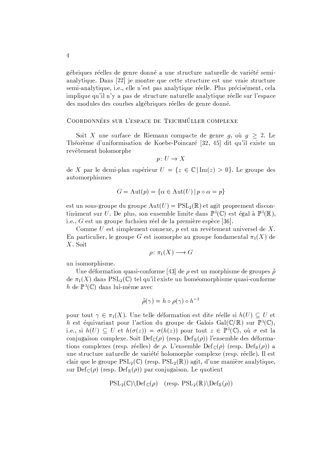gébriques réelles de genre donné a une structure naturelle de variété semianalytique. Dans [22] je montre que cette structure est une vraie structure semi-analytique, i.e., elle n'est pas analytique réelle. Plus précisément, cela implique qu'il n'y a pas de structure naturelle analytique réelle sur l'espace des modules des courbes algébriques réelles de genre donné.

# COORDONNÉES SUR L'ESPACE DE TEICHMÜLLER COMPLEXE

Soit X une surface de Riemann compacte de genre g, où  $g \geq 2$ . Le Théorème d'uniformisation de Koebe-Poincaré [32, 45] dit qu'il existe un revêtement holomorphe

$$
p\colon U\to X
$$

de X par le demi-plan supérieur  $U = \{z \in \mathbb{C} | \text{Im}(z) > 0\}$ . Le groupe des automorphismes

$$
G = \text{Aut}(p) = \{ \alpha \in \text{Aut}(U) \mid p \circ \alpha = p \}
$$

est un sous-groupe du groupe  $Aut(U) = PSL_2(\mathbb{R})$  et agit proprement discontinûment sur U. De plus, son ensemble limite dans  $\mathbb{P}^1(\mathbb{C})$  est égal à  $\mathbb{P}^1(\mathbb{R})$ , i.e.,  $G$  est un groupe fuchsien réel de la première espèce [36].

Comme  $U$  est simplement connexe,  $p$  est un revêtement universel de  $X$ . En particulier, le groupe G est isomorphe au groupe fondamental  $\pi_1(X)$  de  $X.$  Soit

$$
\rho\colon \pi_1(X)\longrightarrow G
$$

un isomorphisme.

Une déformation quasi-conforme [43] de  $\rho$  est un morphisme de groupes  $\tilde{\rho}$ de  $\pi_1(X)$  dans  $PSL_2(\mathbb{C})$  tel qu'il existe un homéomorphisme quasi-conforme h de  $\mathbb{P}^1(\mathbb{C})$  dans lui-même avec

$$
\tilde{\rho}(\gamma) = h \circ \rho(\gamma) \circ h^{-1}
$$

pour tout  $\gamma \in \pi_1(X)$ . Une telle déformation est dite réelle si  $h(U) \subseteq U$  et h est équivariant pour l'action du groupe de Galois Gal $(\mathbb{C}/\mathbb{R})$  sur  $\mathbb{P}^1(\mathbb{C})$ , i.e., si  $h(U) \subseteq U$  et  $h(\sigma(z)) = \sigma(h(z))$  pour tout  $z \in \mathbb{P}^1(\mathbb{C})$ , où  $\sigma$  est la conjugaison complexe. Soit Def<sub> $\mathbb{C}(\rho)$ </sub> (resp. Def<sub> $\mathbb{R}(\rho)$ </sub>) l'ensemble des déformations complexes (resp. réelles) de  $\rho$ . L'ensemble Def<sub>C</sub>( $\rho$ ) (resp. Def<sub>R</sub>( $\rho$ )) a une structure naturelle de variété holomorphe complexe (resp. réelle). Il est clair que le groupe  $PSL_2(\mathbb{C})$  (resp.  $PSL_2(\mathbb{R})$ ) agit, d'une manière analytique, sur Def<sub>c</sub>( $\rho$ ) (resp. Def<sub>R</sub>( $\rho$ )) par conjugaison. Le quotient

$$
\mathrm{PSL}_2(\mathbb{C})\backslash \mathrm{Def}_{\mathbb{C}}(\rho) \quad (\text{resp.} \ \mathrm{PSL}_2(\mathbb{R})\backslash \mathrm{Def}_{\mathbb{R}}(\rho))
$$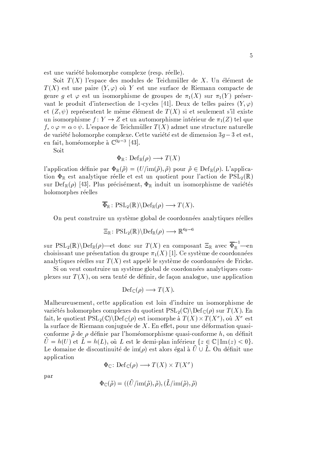est une variété holomorphe complexe (resp. réelle).

Soit  $T(X)$  l'espace des modules de Teichmüller de X. Un élément de  $T(X)$  est une paire  $(Y, \varphi)$  où Y est une surface de Riemann compacte de genre q et  $\varphi$  est un isomorphisme de groupes de  $\pi_1(X)$  sur  $\pi_1(Y)$  préservant le produit d'intersection de 1-cycles [41]. Deux de telles paires  $(Y, \varphi)$ et  $(Z, \psi)$  représentent le même élément de  $T(X)$  si et seulement s'il existe un isomorphisme  $f: Y \to Z$  et un automorphisme intérieur de  $\pi_1(Z)$  tel que  $f_* \circ \varphi = \alpha \circ \psi$ . L'espace de Teichmüller  $T(X)$  admet une structure naturelle de variété holomorphe complexe. Cette variété est de dimension  $3g - 3$  et est, en fait, homéomorphe à  $\mathbb{C}^{3g-3}$  [43].

Soit

$$
\Phi_{\mathbb{R}}
$$
: Def <sub>$\mathbb{R}$</sub>  $(\rho) \longrightarrow T(X)$ 

l'application définie par  $\Phi_{\mathbb{R}}(\tilde{\rho}) = (U/\text{im}(\tilde{\rho}), \tilde{\rho})$  pour  $\tilde{\rho} \in \text{Def}_{\mathbb{R}}(\rho)$ . L'application  $\Phi_{\mathbb{R}}$  est analytique réelle et est un quotient pour l'action de  $PSL_2(\mathbb{R})$ sur Def<sub>R</sub> $(\rho)$  [43]. Plus précisément,  $\Phi_{\mathbb{R}}$  induit un isomorphisme de variétés holomorphes réelles

$$
\overline{\Phi}_{\mathbb{R}} : \mathrm{PSL}_2(\mathbb{R}) \backslash \mathrm{Def}_{\mathbb{R}}(\rho) \longrightarrow T(X).
$$

On peut construire un système global de coordonnées analytiques réelles

$$
\Xi_\mathbb{R}\colon \mathrm{PSL}_2(\mathbb{R})\backslash \mathrm{Def}_\mathbb{R}(\rho)\longrightarrow \mathbb{R}^{6g-6}
$$

sur  $\mathrm{PSL}_2(\mathbb{R})\backslash \mathrm{Def}_{\mathbb{R}}(\rho)$ —et donc sur  $T(X)$  en composant  $\Xi_{\mathbb{R}}$  avec  $\overline{\Phi}_{\mathbb{R}}^{-1}$ —en choisissant une présentation du groupe  $\pi_1(X)$  [1]. Ce système de coordonnées analytiques réelles sur  $T(X)$  est appelé le système de coordonnées de Fricke.

Si on veut construire un système global de coordonnées analytiques complexes sur  $T(X)$ , on sera tenté de définir, de façon analogue, une application

$$
\mathrm{Def}_{\mathbb{C}}(\rho) \longrightarrow T(X).
$$

Malheureusement, cette application est loin d'induire un isomorphisme de variétés holomorphes complexes du quotient  $PSL_2(\mathbb{C})\backslash Def_{\mathbb{C}}(\rho)$  sur  $T(X)$ . En fait, le quotient  $PSL_2(\mathbb{C})\backslash Def_{\mathbb{C}}(\rho)$  est isomorphe à  $T(X) \times T(X^{\sigma})$ , où  $X^{\sigma}$  est la surface de Riemann conjuguée de  $X$ . En effet, pour une déformation quasiconforme  $\tilde{\rho}$  de  $\rho$  définie par l'homéomorphisme quasi-conforme h, on définit  $\tilde{U} = h(U)$  et  $\tilde{L} = h(L)$ , où L est le demi-plan inférieur  $\{z \in \mathbb{C} \mid \text{Im}(z) < 0\}.$ Le domaine de discontinuité de im( $\rho$ ) est alors égal à  $\tilde{U} \cup \tilde{L}$ . On définit une application

$$
\Phi_{\mathbb{C}}\colon \mathrm{Def}_{\mathbb{C}}(\rho) \longrightarrow T(X) \times T(X^{\sigma})
$$

par

$$
\Phi_{\mathbb{C}}(\tilde{\rho}) = ((\tilde{U}/\text{im}(\tilde{\rho}), \tilde{\rho}), (\tilde{L}/\text{im}(\tilde{\rho}), \tilde{\rho})
$$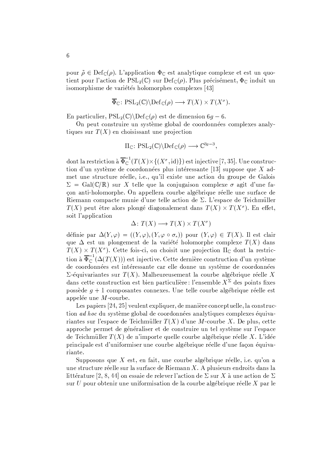pour  $\tilde{\rho} \in \text{Def}_{\mathbb{C}}(\rho)$ . L'application  $\Phi_{\mathbb{C}}$  est analytique complexe et est un quotient pour l'action de  $PSL_2(\mathbb{C})$  sur Def<sub> $\mathbb{C}(\rho)$ </sub>. Plus précisément,  $\Phi_{\mathbb{C}}$  induit un isomorphisme de variétés holomorphes complexes [43]

$$
\overline{\Phi}_{\mathbb{C}}\colon \mathrm{PSL}_2(\mathbb{C})\backslash \mathrm{Def}_{\mathbb{C}}(\rho) \longrightarrow T(X) \times T(X^{\sigma}).
$$

En particulier,  $PSL_2(\mathbb{C})\backslash Def_{\mathbb{C}}(\rho)$  est de dimension  $6q-6$ .

On peut construire un système global de coordonnées complexes analytiques sur  $T(X)$  en choisissant une projection

$$
\Pi_{\mathbb{C}}\colon \mathrm{PSL}_2(\mathbb{C})\backslash \mathrm{Def}_{\mathbb{C}}(\rho) \longrightarrow \mathbb{C}^{3g-3},
$$

dont la restriction à  $\overline{\Phi}_{\mathbb{C}}^{-1}(T(X)\times\{(X^\sigma,\mathrm{id})\})$  est injective [7, 35]. Une construction d'un système de coordonnées plus intéressante [13] suppose que  $X$  admet une structure réelle, *i.e.*, qu'il existe une action du groupe de Galois  $\Sigma = \text{Gal}(\mathbb{C}/\mathbb{R})$  sur X telle que la conjugaison complexe  $\sigma$  agit d'une facon anti-holomorphe. On appellera courbe algébrique réelle une surface de Riemann compacte munie d'une telle action de  $\Sigma$ . L'espace de Teichmüller  $T(X)$  peut être alors plongé diagonalement dans  $T(X) \times T(X^{\sigma})$ . En effet, soit l'application

$$
\Delta\colon T(X)\longrightarrow T(X)\times T(X^{\sigma})
$$

définie par  $\Delta(Y,\varphi) = ((Y,\varphi),(Y,\varphi \circ \sigma_{\star}))$  pour  $(Y,\varphi) \in T(X)$ . Il est clair que  $\Delta$  est un plongement de la variété holomorphe complexe  $T(X)$  dans  $T(X) \times T(X^{\sigma})$ . Cette fois-ci, on choisit une projection  $\Pi_{\mathbb{C}}$  dont la restriction à  $\overline{\Phi}_{\mathbb{C}}^{-1}(\Delta(T(X)))$  est injective. Cette dernière construction d'un système de coordonnées est intéressante car elle donne un système de coordonnées  $\Sigma$ -équivariantes sur  $T(X)$ . Malheureusement la courbe algébrique réelle X dans cette construction est bien particulière : l'ensemble  $X^{\Sigma}$  des points fixes possède  $g + 1$  composantes connexes. Une telle courbe algébrique réelle est appelée une  $M$ -courbe.

Les papiers [24, 25] veulent expliquer, de manière conceptuelle, la construction *ad hoc* du système global de coordonnées analytiques complexes équivariantes sur l'espace de Teichmüller  $T(X)$  d'une M-courbe X. De plus, cette approche permet de généraliser et de construire un tel système sur l'espace de Teichmüller  $T(X)$  de n'importe quelle courbe algébrique réelle X. L'idée principale est d'uniformiser une courbe algébrique réelle d'une façon équivariante.

Supposons que  $X$  est, en fait, une courbe algébrique réelle, i.e. qu'on a une structure réelle sur la surface de Riemann  $X$ . A plusieurs endroits dans la littérature [2, 8, 44] on essaie de relever l'action de  $\Sigma$  sur X à une action de  $\Sigma$ sur U pour obtenir une uniformisation de la courbe algébrique réelle  $X$  par le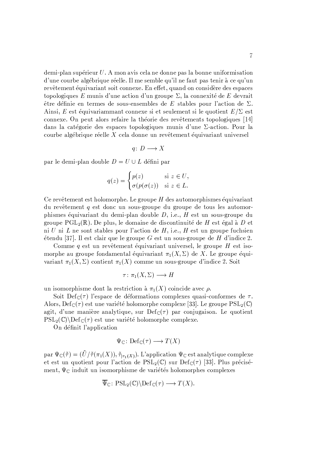demi-plan supérieur  $U$ . A mon avis cela ne donne pas la bonne uniformisation d'une courbe algébrique réelle. Il me semble qu'il ne faut pas tenir à ce qu'un revêtement équivariant soit connexe. En effet, quand on considère des espaces topologiques E munis d'une action d'un groupe  $\Sigma$ , la connexité de E devrait être définie en termes de sous-ensembles de E stables pour l'action de  $\Sigma$ . Ainsi, E est équivariamment connexe si et seulement si le quotient  $E/\Sigma$  est connexe. On peut alors refaire la théorie des revêtements topologiques [14] dans la catégorie des espaces topologiques munis d'une  $\Sigma$ -action. Pour la courbe algébrique réelle X cela donne un revêtement équivariant universel

$$
q\colon D\longrightarrow X
$$

par le demi-plan double  $D = U \cup L$  défini par

$$
q(z) = \begin{cases} p(z) & \text{si } z \in U, \\ \sigma(p(\sigma(z)) & \text{si } z \in L. \end{cases}
$$

Ce revêtement est holomorphe. Le groupe  $H$  des automorphismes équivariant du revêtement q est donc un sous-groupe du groupe de tous les automorphismes équivariant du demi-plan double  $D$ , i.e.,  $H$  est un sous-groupe du groupe  $PGL_2(\mathbb{R})$ . De plus, le domaine de discontinuité de H est égal à D et ni U ni L ne sont stables pour l'action de H, i.e., H est un groupe fuchsien étendu [37]. Il est clair que le groupe G est un sous-groupe de H d'indice 2.

Comme q est un revêtement équivariant universel, le groupe  $H$  est isomorphe au groupe fondamental équivariant  $\pi_1(X,\Sigma)$  de X. Le groupe équivariant  $\pi_1(X,\Sigma)$  contient  $\pi_1(X)$  comme un sous-groupe d'indice 2. Soit

$$
\tau \colon \pi_1(X, \Sigma) \longrightarrow H
$$

un isomorphisme dont la restriction à  $\pi_1(X)$  coincide avec  $\rho$ .

Soit Def<sub>c</sub> $(\tau)$  l'espace de déformations complexes quasi-conformes de  $\tau$ . Alors,  $Def_{\mathcal{C}}(\tau)$  est une variété holomorphe complexe [33]. Le groupe  $PSL_2(\mathcal{C})$ agit, d'une manière analytique, sur  $Def_{\mathbb{C}}(\tau)$  par conjugaison. Le quotient  $PSL_2(\mathbb{C})\backslash Def_{\mathbb{C}}(\tau)$  est une variété holomorphe complexe.

On définit l'application

$$
\Psi_{\mathbb{C}}\colon \mathrm{Def}_{\mathbb{C}}(\tau) \longrightarrow T(X)
$$

par  $\Psi_{\mathbb{C}}(\tilde{\tau}) = (\tilde{U}/\tilde{\tau}(\pi_1(X)), \tilde{\tau}_{|\pi_1(X)})$ . L'application  $\Psi_{\mathbb{C}}$  est analytique complexe et est un quotient pour l'action de  $PSL_2(\mathbb{C})$  sur  $Def_{\mathbb{C}}(\tau)$  [33]. Plus précisément,  $\Psi_{\mathbb{C}}$  induit un isomorphisme de variétés holomorphes complexes

$$
\overline{\Psi}_{\mathbb{C}}
$$
:  $PSL_2(\mathbb{C})\backslash Def_{\mathbb{C}}(\tau) \longrightarrow T(X)$ .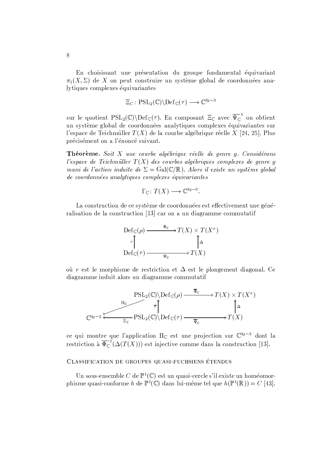En choisissant une présentation du groupe fondamental équivariant  $\pi_1(X,\Sigma)$  de X on peut construire un système global de coordonnées analytiques complexes équivariantes

$$
\Xi_C \colon \mathrm{PSL}_2(\mathbb{C}) \backslash \mathrm{Def}_{\mathbb{C}}(\tau) \longrightarrow \mathbb{C}^{3g-3}
$$

sur le quotient  $PSL_2(\mathbb{C})\backslash Def_{\mathbb{C}}(\tau)$ . En composant  $\Xi_{\mathbb{C}}$  avec  $\overline{\Psi}_{\mathbb{C}}^{-1}$  on obtient un système global de coordonnées analytiques complexes équivariantes sur l'espace de Teichmüller  $T(X)$  de la courbe algébrique réelle X [24, 25]. Plus précisément on a l'énoncé suivant.

Théorème. Soit X une courbe algébrique réelle de genre g. Considérons l'espace de Teichmüller  $T(X)$  des courbes algébriques complexes de genre q muni de l'action induite de  $\Sigma = \text{Gal}(\mathbb{C}/\mathbb{R})$ . Alors il existe un système global de coordonnées analytiques complexes équivariantes

$$
\Gamma_{\mathbb{C}}\colon T(X)\longrightarrow \mathbb{C}^{3g-3}.
$$

La construction de ce système de coordonnées est effectivement une généralisation de la construction [13] car on a un diagramme commutatif



où r est le morphisme de restriction et  $\Delta$  est le plongement diagonal. Ce diagramme induit alors un diagramme commutatif

$$
\underbrace{\mathrm{PSL}_2(\mathbb{C})\backslash \mathrm{Def}_{\mathbb{C}}(\rho)\xrightarrow{\overline{\Phi}_{\mathbb{C}}}\tT(X)\times T(X^{\sigma})}{\overline{r}\uparrow\atop{\overline{\mathbb{E}}_{\mathbb{C}}}\tT(X)\xrightarrow{\overline{\Psi}_{\mathbb{C}}}\tT(X)\xrightarrow{\overline{\Psi}_{\mathbb{C}}}\tT(X)}T(X)
$$

ce qui montre que l'application  $\Pi_{\mathbb{C}}$  est une projection sur  $\mathbb{C}^{3g-3}$  dont la restriction à  $\overline{\Phi}_{\mathbb{C}}^{-1}(\Delta(T(X)))$  est injective comme dans la construction [13].

# CLASSIFICATION DE GROUPES QUASI-FUCHSIENS ÉTENDUS

Un sous-ensemble C de  $\mathbb{P}^1(\mathbb{C})$  est un quasi-cercle s'il existe un homéomorphisme quasi-conforme *h* de  $\mathbb{P}^1(\mathbb{C})$  dans lui-même tel que  $h(\mathbb{P}^1(\mathbb{R})) = C$  [43].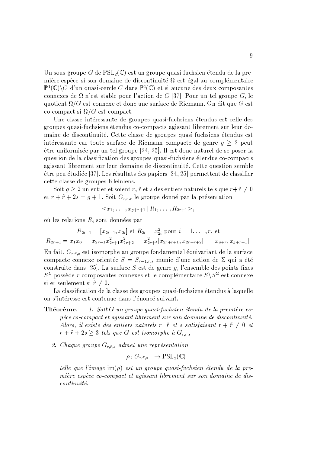Un sous-groupe G de  $PSL_2(\mathbb{C})$  est un groupe quasi-fuchsien étendu de la première espèce si son domaine de discontinuité  $\Omega$  est égal au complémentaire  $\mathbb{P}^1(\mathbb{C})\backslash C$  d'un quasi-cercle C dans  $\mathbb{P}^1(\mathbb{C})$  et si aucune des deux composantes connexes de  $\Omega$  n'est stable pour l'action de G [37]. Pour un tel groupe G, le quotient  $\Omega/G$  est connexe et donc une surface de Riemann. On dit que G est co-compact si  $\Omega/G$  est compact.

Une classe intéressante de groupes quasi-fuchsiens étendus est celle des groupes quasi-fuchsiens étendus co-compacts agissant librement sur leur domaine de discontinuité. Cette classe de groupes quasi-fuchsiens étendus est intéressante car toute surface de Riemann compacte de genre  $g \geq 2$  peut être uniformisée par un tel groupe [24, 25]. Il est donc naturel de se poser la question de la classification des groupes quasi-fuchsiens étendus co-compacts agissant librement sur leur domaine de discontinuité. Cette question semble être peu étudiée [37]. Les résultats des papiers [24, 25] permettent de classifier cette classe de groupes Kleiniens.

Soit  $g \ge 2$  un entier et soient r,  $\tilde{r}$  et s des entiers naturels tels que  $r + \tilde{r} \ne 0$ et  $r + \tilde{r} + 2s = g + 1$ . Soit  $G_{r,\tilde{r},s}$  le groupe donné par la présentation

$$
,
$$

où les relations  $R_i$  sont données par

$$
R_{2i-1} = [x_{2i-1}, x_{2i}] \text{ et } R_{2i} = x_{2i}^2 \text{ pour } i = 1, \dots, r, \text{ et } R_{2r+1} = x_1 x_3 \cdots x_{2r-1} x_{2r+1}^2 x_{2r+2}^2 \cdots x_{2r+r}^2 [x_{2r+r+1}, x_{2r+r+2}] \cdots [x_{g+r}, x_{g+r+1}].
$$

En fait,  $G_{r,\tilde{r},s}$  est isomorphe au groupe fondamental équivariant de la surface compacte connexe orientée  $S = S_{r-1,\tilde{r},s}$  munie d'une action de  $\Sigma$  qui a été construite dans [25]. La surface S est de genre  $g$ , l'ensemble des points fixes  $S^{\Sigma}$  possède r composantes connexes et le complémentaire  $S\backslash S^{\Sigma}$  est connexe si et seulement si  $\tilde{r} \neq 0$ .

La classification de la classe des groupes quasi-fuchsiens étendus à laquelle on s'intéresse est contenue dans l'énoncé suivant.

- Théorème. 1. Soit G un groupe quasi-fuchsien étendu de la première espèce co-compact et agissant librement sur son domaine de discontinuité. Alors, il existe des entiers naturels r,  $\tilde{r}$  et s satisfaisant  $r + \tilde{r} \neq 0$  et  $r + \tilde{r} + 2s \geq 3$  tels que G est isomorphe à  $G_{r,\tilde{r},s}$ .
	- 2. Chaque groupe  $G_{r,\tilde{r},s}$  admet une représentation

$$
\rho\colon G_{r,\tilde{r},s}\longrightarrow \mathrm{PSL}_2(\mathbb{C})
$$

telle que l'image  $\text{im}(p)$  est un groupe quasi-fuchsien étendu de la première espèce co-compact et agissant librement sur son domaine de dis $continuit$  $\acute{e}$ .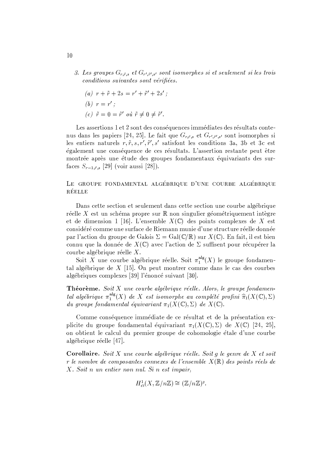3. Les groupes  $G_{r,\tilde{r},s}$  et  $G_{r',\tilde{r}',s'}$  sont isomorphes si et seulement si les trois conditions suivantes sont vérifiées.

(a) 
$$
r + \tilde{r} + 2s = r' + \tilde{r}' + 2s'
$$
;  
\n(b)  $r = r'$ ;  
\n(c)  $\tilde{r} = 0 = \tilde{r}' \circ \tilde{u} \tilde{r} \neq 0 \neq \tilde{r}'$ .

Les assertions 1 et 2 sont des conséquences immédiates des résultats contenus dans les papiers [24, 25]. Le fait que  $G_{r,\tilde{r},s}$  et  $G_{r',\tilde{r}',s'}$  sont isomorphes si les entiers naturels  $r, \tilde{r}, s, r', \tilde{r}', s'$  satisfont les conditions 3a, 3b et 3c est également une conséquence de ces résultats. L'assertion restante peut être montrée après une étude des groupes fondamentaux équivariants des surfaces  $S_{r-1,\tilde{r},s}$  [29] (voir aussi [28]).

# LE GROUPE FONDAMENTAL ALGÉBRIQUE D'UNE COURBE ALGÉBRIQUE RÉELLE

Dans cette section et seulement dans cette section une courbe algébrique réelle X est un schéma propre sur  $\mathbb R$  non singulier géométriquement intègre et de dimension 1 [16]. L'ensemble  $X(\mathbb{C})$  des points complexes de X est considéré comme une surface de Riemann munie d'une structure réelle donnée par l'action du groupe de Galois  $\Sigma = \text{Gal}(\mathbb{C}/\mathbb{R})$  sur  $X(\mathbb{C})$ . En fait, il est bien connu que la donnée de  $X(\mathbb{C})$  avec l'action de  $\Sigma$  suffisent pour récupérer la courbe algébrique réelle  $X$ .

Soit X une courbe algébrique réelle. Soit  $\pi_1^{\text{alg}}(X)$  le groupe fondamental algébrique de  $X$  [15]. On peut montrer comme dans le cas des courbes algébriques complexes [39] l'énoncé suivant [30].

Théorème. Soit  $X$  une courbe algébrique réelle. Alors, le groupe fondamental algébrique  $\pi_1^{\text{alg}}(X)$  de X est isomorphe au complété profini  $\widehat{\pi}_1(X(\mathbb{C}), \Sigma)$ du groupe fondamental équivariant  $\pi_1(X(\mathbb{C}), \Sigma)$  de  $X(\mathbb{C})$ .

Comme conséquence immédiate de ce résultat et de la présentation explicite du groupe fondamental équivariant  $\pi_1(X(\mathbb{C}), \Sigma)$  de  $X(\mathbb{C})$  [24, 25], on obtient le calcul du premier groupe de cohomologie étale d'une courbe algébrique réelle [47].

**Corollaire.** Soit X une courbe algébrique réelle. Soit *g* le genre de X et soit r le nombre de composantes connexes de l'ensemble  $X(\mathbb{R})$  des points réels de X. Soit n un entier non nul. Si n est impair,

$$
H^1_{\acute{e}t}(X,\mathbb{Z}/n\mathbb{Z}) \cong (\mathbb{Z}/n\mathbb{Z})^g.
$$

10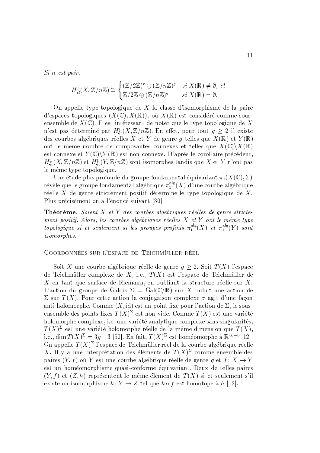Si n est pair,

$$
H^1_{\acute{e}t}(X,\mathbb{Z}/n\mathbb{Z})\cong\begin{cases} (\mathbb{Z}/2\mathbb{Z})^r\oplus(\mathbb{Z}/n\mathbb{Z})^g\quad si\ X(\mathbb{R})\neq\emptyset,\ et\\ \mathbb{Z}/2\mathbb{Z}\oplus(\mathbb{Z}/n\mathbb{Z})^g\quad si\ X(\mathbb{R})=\emptyset.\end{cases}
$$

On appelle type topologique de  $X$  la classe d'isomorphisme de la paire d'espaces topologiques  $(X(\mathbb{C}), X(\mathbb{R}))$ , où  $X(\mathbb{R})$  est considéré comme sousensemble de  $X(\mathbb{C})$ . Il est intéressant de noter que le type topologique de X n'est pas déterminé par  $H^1_{\text{\'et}}(X,\mathbb{Z}/n\mathbb{Z})$ . En effet, pour tout  $g \geq 2$  il existe des courbes algébriques réelles  $X$  et  $Y$  de genre  $g$  telles que  $X(\mathbb{R})$  et  $Y(\mathbb{R})$ ont le même nombre de composantes connexes et telles que  $X(\mathbb{C})\backslash X(\mathbb{R})$ est connexe et  $Y(\mathbb{C})\backslash Y(\mathbb{R})$  est non connexe. D'après le corollaire précédent,  $H^1_{\text{\'et}}(X,\mathbb{Z}/n\mathbb{Z})$  et  $H^1_{\text{\'et}}(Y,\mathbb{Z}/n\mathbb{Z})$  sont isomorphes tandis que X et Y n'ont pas le même type topologique.

Une étude plus profonde du groupe fondamental équivariant  $\pi_1(X(\mathbb{C}), \Sigma)$ révèle que le groupe fondamental algébrique  $\pi_1^{\text{alg}}(X)$  d'une courbe algébrique réelle X de genre strictement positif détermine le type topologique de  $X$ . Plus précisément on a l'énoncé suivant [30].

**Théorème.** Soient X et Y des courbes algébriques réelles de genre strictement positif. Alors, les courbes algébriques réelles X et Y ont le même type topologique si et seulement si les groupes profinis  $\pi_1^{\text{alg}}(X)$  et  $\pi_1^{\text{alg}}(Y)$  sont *isomorphes.* 

COORDONNÉES SUR L'ESPACE DE TEICHMÜLLER RÉEL

Soit X une courbe algébrique réelle de genre  $g \geq 2$ . Soit  $T(X)$  l'espace de Teichmüller complexe de  $X$ , i.e.,  $T(X)$  est l'espace de Teichmüller de  $X$  en tant que surface de Riemann, en oubliant la structure réelle sur  $X$ . L'action du groupe de Galois  $\Sigma = \text{Gal}(\mathbb{C}/\mathbb{R})$  sur X induit une action de  $\Sigma$  sur  $T(X)$ . Pour cette action la conjugaison complexe  $\sigma$  agit d'une façon anti-holomorphe. Comme  $(X, id)$  est un point fixe pour l'action de  $\Sigma$ , le sousensemble des points fixes  $T(X)^{\Sigma}$  est non vide. Comme  $T(X)$  est une variété holomorphe complexe, i.e. une variété analytique complexe sans singularités,  $T(X)^{\Sigma}$  est une variété holomorphe réelle de la même dimension que  $T(X)$ , i.e.,  $\dim T(X)^{\Sigma} = 3g - 3$  [50]. En fait,  $T(X)^{\Sigma}$  est homéomorphe à  $\mathbb{R}^{3g-3}$  [12]. On appelle  $T(X)^{\Sigma}$  l'espace de Teichmüller réel de la courbe algébrique réelle X. Il y a une interprétation des éléments de  $T(X)^{\Sigma}$  comme ensemble des paires  $(Y, f)$  où Y est une courbe algébrique réelle de genre q et  $f: X \to Y$ est un homéomorphisme quasi-conforme équivariant. Deux de telles paires  $(Y, f)$  et  $(Z, h)$  représentent le même élément de  $T(X)$  si et seulement s'il existe un isomorphisme  $k: Y \to Z$  tel que  $k \circ f$  est homotope à h [12].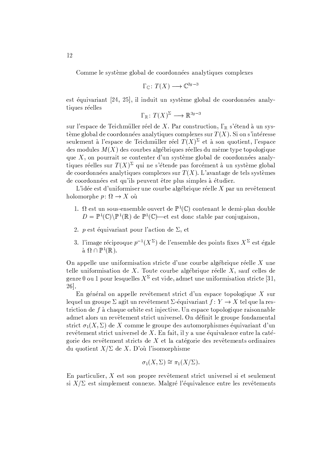Comme le système global de coordonnées analytiques complexes

$$
\Gamma_{\mathbb{C}}\colon T(X)\longrightarrow \mathbb{C}^{3g-3}
$$

 $\blacksquare$ tiques réelles

$$
\Gamma_{\mathbb{R}}\colon T(X)^{\Sigma}\longrightarrow \mathbb{R}^{3g-3}
$$

sur l'espace de Teichmüller réel de X. Par construction,  $\Gamma_{\mathbb{R}}$  s'étend à un système global de coordonnées analytiques complexes sur  $T(X)$ . Si on s'intéresse seulement à l'espace de Teichmüller réel  $T(X)^{\Sigma}$  et à son quotient, l'espace 8L.)\*MOV48LDH@I.)\* S8L.)\*,<VWDH;5|+.)\*&J@>~9.3|H;=\${YDH.)\*;H9.3.3@I@>.)\*8LDGM().3M.0^4F!.s05VWF!VW@>VW~R=\${YDH. que X, on pourrait se contenter d'un système global de coordonnées analytiques réelles sur  $T(X)^{\Sigma}$  qui ne s'étende pas forcément à un système global de coordonnées analytiques complexes sur  $T(X)$ . L'avantage de tels systèmes de coordonnées est qu'ils peuvent être plus simples à étudier.

L'idée est d'uniformiser une courbe algébrique réelle X par un revêtement  $\Box$  i  $\Box$   $\Box$ 

- $R$  . And the contract of the contract of the contract of the contract of the contract of the contract of the contract of the contract of the contract of the contract of the contract of the contract of the contract of the  $D=\mathbb{P}^1(\mathbb{C})\backslash\mathbb{P}^1(\mathbb{R})$  de  $\mathbb{P}^1(\mathbb{C})$ —et est donc stable par conjugaison,
- $\Omega$  , and  $\Omega$  . The  $\Omega$  is a decomposition of  $\Omega$
- $\mathcal{P}$  and  $\mathcal{P}$  is the state of  $\mathcal{P}$  and  $\mathcal{P}$  is the  $\mathcal{P}$  sale. The state  $\mathcal{P}$  is a set of  $\mathcal{P}$  is a set of  $\mathcal{P}$  . The state of  $\mathcal{P}$  is a set of  $\mathcal{P}$  is a set of  $\mathcal{P}$  is a set of  $\land$   $\Omega \cap \mathbb{P}^1(\mathbb{R})$ .

On appelle une uniformisation stricte d'une courbe algébrique réelle  $X$  une telle uniformisation de X. Toute courbe algébrique réelle X, sauf celles de ~R.3(H;. VWD) eF!VWDH;@I.)\*5{YDH.3@I@>.)\*B.\_\*E0Q4=\$8L.Ycg&R8LM.30DH(H.eDH(H=£wyVR;MO=\$\*&J05=IVR(}\*^05;=\$,<0.'h Wc  $26$ .

En général on appelle revêtement strict d'un espace topologique X sur @>.){YDH.3@)DH(}~R;VRDHF+. -r&J~W=>0DH(};5.gQ\*).30.3MO.3(40 -` .){YDH=>QW&J;=\$&)(L0 <sup>9</sup> '- -c 0.3@Y{YDH.e@\$&:;.)\*` triction de  $f$  à chaque orbite est injective. Un espace topologique raisonnable admet alors un revêtement strict universel. On définit le groupe fondamental strict  $\sigma_i(X, \Sigma)$  de X comme le groupe des automorphismes équivariant d'un revêtement strict universel de X. En fait, il y a une équivalence entre la catégorie des revêtement stricts de  $X$  et la catégorie des revêtements ordinaires 8LD{DHVW05=I.3(L0PO -¥8L.zX+%7pqV\Di@dpf=\$\*EVWMOVR;FHH=b\*EMO.

$$
\sigma_1(X,\Sigma) \cong \pi_1(X/\Sigma).
$$

En particulier, X est son propre revêtement strict universel si et seulement \*E=aO - .)\*E07\*E=IMOFH@I.3M-.g(Y0u,<VR(H(C.32L. <sup>X</sup> /i&J@I~R;C9.G@]p9.){YDH=IQR&)@>.3(T,<.}.3(L0;5.G@I.)\*;5.gQ\*).30.3MO.3(40?\*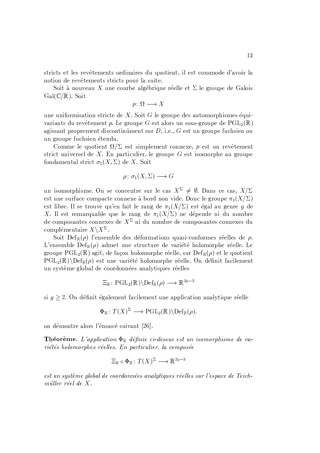stricts et les revêtements ordinaires du quotient, il est commode d'avoir la notion de revêtements stricts pour la suite.

Soit à nouveau X une courbe algébrique réelle et  $\Sigma$  le groupe de Galois  $Gal(\mathbb{C}/\mathbb{R})$ . Soit

$$
p\colon \Omega\longrightarrow X
$$

une uniformisation stricte de X. Soit G le groupe des automorphismes équivariants du revêtement p. Le groupe G est alors un sous-groupe de  $PGL_2(\mathbb{R})$ agissant proprement discontinument sur  $D$ , i.e.,  $G$  est un groupe fuchsien ou un groupe fuchsien étendu.

Comme le quotient  $\Omega/\Sigma$  est simplement connexe, p est un revêtement strict universel de  $X$ . En particulier, le groupe  $G$  est isomorphe au groupe fondamental strict  $\sigma_1(X,\Sigma)$  de X. Soit

$$
\rho \colon \sigma_1(X, \Sigma) \longrightarrow G
$$

un isomorphisme. On se concentre sur le cas  $X^{\Sigma} \neq \emptyset$ . Dans ce cas,  $X/\Sigma$ est une surface compacte connexe à bord non vide. Donc le groupe  $\pi_1(X/\Sigma)$ est libre. Il se trouve qu'en fait le rang de  $\pi_1(X/\Sigma)$  est égal au genre q de X. Il est remarquable que le rang de  $\pi_1(X/\Sigma)$  ne dépende ni du nombre de composantes connexes de  $X^{\Sigma}$  ni du nombre de composantes connexes du complémentaire  $X\backslash X^{\Sigma}$ .

Soit Def<sub>R</sub> $(\rho)$  l'ensemble des déformations quasi-conformes réelles de  $\rho$ . L'ensemble Def<sub>R</sub> $(\rho)$  admet une structure de variété holomorphe réelle. Le groupe  $PGL_2(\mathbb{R})$  agit, de façon holomorphe réelle, sur  $Def_{\mathbb{R}}(\rho)$  et le quotient  $PGL_2(\mathbb{R})\backslash Def_{\mathbb{R}}(\rho)$  est une variété holomorphe réelle. On définit facilement un système global de coordonnées analytiques réelles

$$
\Xi_{\mathbb{R}}\colon\mathrm{PGL}_2(\mathbb{R})\backslash\mathrm{Def}_{\mathbb{R}}(\rho)\longrightarrow\mathbb{R}^{3g-3}
$$

si  $q \geq 2$ . On définit également facilement une application analytique réelle

$$
\Phi_{\mathbb{R}}\colon T(X)^{\Sigma} \longrightarrow \mathrm{PGL}_2(\mathbb{R})\backslash \mathrm{Def}_{\mathbb{R}}(\rho).
$$

on démontre alors l'énoncé suivant [26].

**Théorème.** L'application  $\Phi_{\mathbb{R}}$  définie ci-dessus est un isomorphisme de variétés holomorphes réelles. En particulier, la composée

$$
\Xi_{\mathbb{R}} \circ \Phi_{\mathbb{R}} \colon T(X)^{\Sigma} \longrightarrow \mathbb{R}^{3g-3}
$$

est un système global de coordonnées analytiques réelles sur l'espace de Teichmüller réel de X.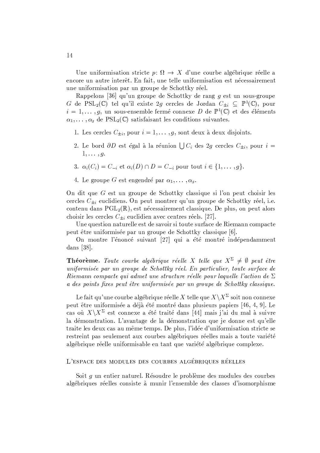Une uniformisation stricte  $p: \Omega \to X$  d'une courbe algébrique réelle a encore un autre interêt. En fait, une telle uniformisation est nécessairement une uniformisation par un groupe de Schottky réel.

Rappelons [36] qu'un groupe de Schottky de rang q est un sous-groupe G de PSL<sub>2</sub>(C) tel qu'il existe 2q cercles de Jordan  $C_{+i} \subseteq \mathbb{P}^1(\mathbb{C})$ , pour  $i = 1, ..., g$ , un sous-ensemble fermé connexe D de  $\mathbb{P}^1(\mathbb{C})$  et des éléments  $\alpha_1, \ldots, \alpha_g$  de PSL<sub>2</sub>(C) satisfaisant les conditions suivantes.

- 1. Les cercles  $C_{\pm i}$ , pour  $i = 1, \ldots, g$ , sont deux à deux disjoints.
- 2. Le bord  $\partial D$  est égal à la réunion  $\bigcup C_i$  des 2g cercles  $C_{\pm i}$ , pour  $i =$  $1, \ldots, g.$
- 3.  $\alpha_i(C_i) = C_{-i}$  et  $\alpha_i(D) \cap D = C_{-i}$  pour tout  $i \in \{1, ..., g\}.$
- 4. Le groupe G est engendré par  $\alpha_1, \ldots, \alpha_n$ .

On dit que G est un groupe de Schottky classique si l'on peut choisir les cercles  $C_{\pm i}$  euclidiens. On peut montrer qu'un groupe de Schottky réel, i.e. contenu dans  $PGL_2(\mathbb{R})$ , est nécessairement classique. De plus, on peut alors choisir les cercles  $C_{+i}$  euclidien avec centres réels. [27].

Une question naturelle est de savoir si toute surface de Riemann compacte peut être uniformisée par un groupe de Schottky classique [6].

On montre l'énoncé suivant [27] qui a été montré indépendamment dans  $[38]$ .

**Théorème.** Toute courbe algébrique réelle X telle que  $X^{\Sigma} \neq \emptyset$  peut être uniformisée par un groupe de Schottky réel. En particulier, toute surface de Riemann compacte qui admet une structure réelle pour laquelle l'action de  $\Sigma$ a des points fixes peut être uniformisée par un groupe de Schottky classique.

Le fait qu'une courbe algébrique réelle X telle que  $X\setminus X^{\Sigma}$  soit non connexe peut être uniformisée a déjà été montré dans plusieurs papiers [46, 4, 9]. Le cas où  $X\backslash X^{\Sigma}$  est connexe a été traité dans [44] mais j'ai du mal à suivre la démonstration. L'avantage de la démonstration que je donne est qu'elle traite les deux cas au même temps. De plus, l'idée d'uniformisation stricte se restreint pas seulement aux courbes algébriques réelles mais a toute variété algébrique réelle uniformisable en tant que variété algébrique complexe.

# L'ESPACE DES MODULES DES COURBES ALGÉBRIQUES RÉELLES

Soit q un entier naturel. Résoudre le problème des modules des courbes algébriques réelles consiste à munir l'ensemble des classes d'isomorphisme

14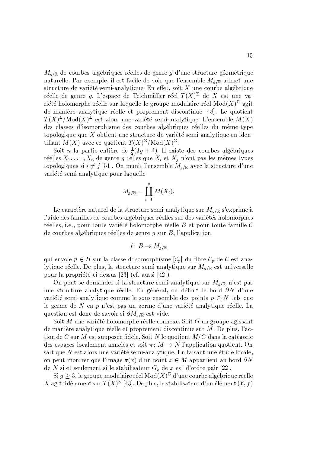$M_{\odot}$  de courbes algébriques réelles de genre q d'une structure géométrique  $_{\rm 2D}$  paragram  $_{\rm 2D}$  is expended in external extended voix que l'ensemble  $M$   $_{\rm cm}$  admet une structure de variété semi-analytique. En effet, soit  $X$  une courbe algébrique réelle de genre g. L'espace de Teichmüller réel  $T(X)^{\Sigma}$  de X est une variété holomorphe réelle sur laquelle le groupe modulaire réel  $Mod(X)^{\Sigma}$  agit de manière analytique réelle et proprement discontinue [48]. Le quotient  $\mathcal{S} = \{S \mid \mathcal{S} \mid \mathcal{S} \mid \mathcal{S} \mid \mathcal{S} \mid \mathcal{S} \mid \mathcal{S} \mid \mathcal{S} \mid \mathcal{S} \mid \mathcal{S} \mid \mathcal{S} \mid \mathcal{S} \mid \mathcal{S} \mid \mathcal{S} \mid \mathcal{S} \mid \mathcal{S} \mid \mathcal{S} \mid \mathcal{S} \mid \mathcal{S} \mid \mathcal{S} \mid \mathcal{S} \mid \mathcal{S} \mid \mathcal{S} \mid \mathcal{S} \mid \mathcal{S} \mid \mathcal{S} \mid \mathcal{S} \mid$ des classes d'isomorphisme des courbes algébriques réelles du même type topologique que X obtient une structure de variété semi-analytique en iden- $\alpha$  , and  $\alpha$  , and  $\alpha$  , and  $\alpha$  is the state of  $\alpha$  . The state of  $\alpha$ 

 $\Omega$  of  $\Omega$  . The set of  $\Omega$  and  $\Omega$  and  $\Omega$  . The  $\Omega$  and  $\Omega$  is the  $\Omega$ réelles  $Y_{\cdot}$   $X_{\cdot}$  de genre *a* telles que  $Y_{\cdot}$  et  $Y_{\cdot}$  n'ont pas les mêmes types topologiques si  $i \neq j$  [51]. On munit l'ensemble  $M_{\ell m}$  avec la structure d'une variété semi-analytique pour laquelle

$$
M_{g/\mathbb{R}} = \coprod_{i=1}^n M(X_i).
$$

Le caractère naturel de la structure semi-analytique sur  $M_{\ell m}$  s'evorime à l'aide des familles de courbes algébriques réelles sur des variétés holomorphes réelles, i.e., pour toute variété holomorphe réelle B et pour toute famille C de courbes algébriques réelles de genre q sur B, l'application

$$
f\colon B\to M_{g/\mathbb{R}}
$$

 $\mathcal{Y}$  +  $\mathcal{Y}$  =  $\mathcal{Y}$  +  $\mathcal{Y}$  =  $\mathcal{Y}$  =  $\mathcal{Y}$  =  $\mathcal{Y}$  =  $\mathcal{Y}$  =  $\mathcal{Y}$  =  $\mathcal{Y}$  =  $\mathcal{Y}$  =  $\mathcal{Y}$  =  $\mathcal{Y}$  =  $\mathcal{Y}$  =  $\mathcal{Y}$  =  $\mathcal{Y}$  =  $\mathcal{Y}$  =  $\mathcal{Y}$  =  $\mathcal{Y}$  =  $\mathcal{Y}$  =  $\overline{\text{lutione}}$  réelle. De plus, la structure semi-analytique sur  $M$   $\overline{\text{m}}$  est universelle. F+VRDC;@b&BFH;5VWFH;5=g9.30C9.7,<=£`^8L.\_\*5\*EDT\*}h R)n d,¢wXC&JD+\*\*E=hjJn PX

On peut se demander si la structure semi-analytique sur  $M_{\ell m}$  n'est pas DH(C.z\*^05;5DT,<05DH;.z&)(+&J@IL0=\${YDH.i;C9.g.3@>@I.YXOQ(¨~9.3(9.3;P&J@]c:VR( 8s9.<+(H=I01@I.|+VW;?8 - 8pqDH(H.  $\mathcal{M}_1$ ,  $\mathcal{M}_2$  ,  $\mathcal{M}_3$  ,  $\mathcal{M}_4$  ,  $\mathcal{M}_5$  ,  $\mathcal{M}_6$  ,  $\mathcal{M}_7$  ,  $\mathcal{M}_8$  ,  $\mathcal{M}_7$  ,  $\mathcal{M}_8$  ,  $\mathcal{M}_9$  ,  $\mathcal{M}_9$  ,  $\mathcal{M}_9$  ,  $\mathcal{M}_9$  ,  $\mathcal{M}_9$  ,  $\mathcal{M}_9$  ,  $\mathcal{M}_9$  ,  $\mathcal{M}_9$  ,  $\mathcal{M$  $\mathbb{R}$  in  $\mathbb{R}$  is the state  $\mathbb{R}$  in the state  $\mathbb{R}$  is the state  $\mathbb{R}$  in the state  $\mathbb{R}$ question est donc de savoir si  $\partial M$  /m est vide

¦YVW=>0 DC(H.'QW&J;=39.30C9.AHVR@IVRMOVW;5FHH.u;C9.g.3@>@I.A,<VW(H(H.324.YXL¦YVW=>0 ? DH(U~R;5VWDHF+.7&J~R=b\*5\*&J(40  $8.1$  and  $1.3$  and  $1.3$  are the  $1.3$  contract of the contract of  $\sim$   $1.4$ 0=>VR(78L. ? \*^DH; .)\*^0\*^DHFHF+VY\*49.3.:8\.3@I.YXJ¦ VR=>0@>.A{YDHVW05=>.g(L0 S ? 8H&J(+\* @\$&u,3&J0C9.3~RVW;5=>.  $8.1$  . In the set of the set of the set of the set of the set of the set of the set of the set of the set of the set of the set of the set of the set of the set of the set of the set of the set of the set of the set of t sait que  $N$  est alors une variété semi-analytique. En faisant une étude locale,  $\mathcal{A} = \mathcal{A} \cup \mathcal{A} = \mathcal{A} \cup \mathcal{A}$  , and a probability of  $\mathcal{A} = \mathcal{A} \cup \mathcal{A}$  . Then are a probability of  $\mathcal{A} = \mathcal{A} \cup \mathcal{A}$  , and a probability of  $\mathcal{A} = \mathcal{A} \cup \mathcal{A}$  , and a probability of  $\mathcal{A} = \mathcal{A$  $8$ . 3. utilization in the state of the state of the state of the state of the state of the state of the state of the state of the state of the state of the state of the state of the state of the state of the state of the

¦Y="% c3@I.~R;VRDHF+.AMOV48LDC@\$&J=I;5. ;C9.3.g@&/V48Sr B8pqDH(H.s,<VWDH;5|+.s&J@I~9.3|C;5=\${YDH.;C9.3.3@I@>. &J~W=>08\.3@I.3MO.3(40\*EDH; ©` OhjJn X)%.eFH@>D+\*/cJ@I.s\*E0?&)|H=>@I=\$\*&J05.gDH; 8pqDC(z9.3@g9.3MO.3(40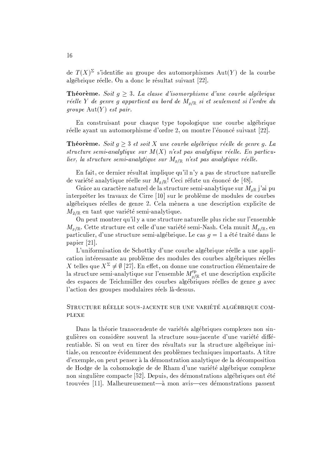de  $T(X)^{\Sigma}$  s'identifie au groupe des automorphismes Aut $(Y)$  de la courbe algébrique réelle. On a donc le résultat suivant [22].

**Théorème.** Soit  $g \geq 3$ . La classe d'isomorphisme d'une courbe algébrique réelle Y de genre g appartient au bord de  $M_{g/\mathbb{R}}$  si et seulement si l'ordre du groupe  $Aut(Y)$  est pair.

En construisant pour chaque type topologique une courbe algébrique réelle ayant un automorphisme d'ordre 2, on montre l'énoncé suivant [22].

**Théorème.** Soit  $g \geq 3$  et soit X une courbe algébrique réelle de genre g. La structure semi-analytique sur  $M(X)$  n'est pas analytique réelle. En particulier, la structure semi-analytique sur  $M_{g/\mathbb{R}}$  n'est pas analytique réelle.

En fait, ce dernier résultat implique qu'il n'y a pas de structure naturelle de variété analytique réelle sur  $M_{g/\mathbb{R}}$ ! Ceci réfute un énoncé de [48].

Grâce au caractère naturel de la structure semi-analytique sur  $M_{aR}$  j'ai pu interprêter les travaux de Cirre [10] sur le problème de modules de courbes algébriques réelles de genre 2. Cela mènera a une description explicite de  $M_{2/\mathbb{R}}$  en tant que variété semi-analytique.

On peut montrer qu'il y a une structure naturelle plus riche sur l'ensemble  $M_{g/\mathbb{R}}$ . Cette structure est celle d'une variété semi-Nash. Cela munit  $M_{g/\mathbb{R}}$ , en particulier, d'une structure semi-algébrique. Le cas  $g = 1$  a été traité dans le papier [21].

L'uniformisation de Schottky d'une courbe algébrique réelle a une application intéressante au problème des modules des courbes algébriques réelles X telles que  $X^{\Sigma} \neq \emptyset$  [27]. En effet, on donne une construction élémentaire de la structure semi-analytique sur l'ensemble  $M_{g/\mathbb{R}}^{rp}$  et une description explicite des espaces de Teichmüller des courbes algébriques réelles de genre g avec l'action des groupes modulaires réels là-dessus.

STRUCTURE RÉELLE SOUS-JACENTE SUR UNE VARIÉTÉ ALGÉBRIQUE COM-PLEXE

Dans la théorie transcendente de variétés algébriques complexes non singulières on considère souvent la structure sous-jacente d'une variété différentiable. Si on veut en tirer des résultats sur la structure algébrique initiale, on rencontre évidemment des problèmes techniques importants. A titre d'exemple, on peut penser à la démonstration analytique de la décomposition de Hodge de la cohomologie de de Rham d'une variété algébrique complexe non singulière compacte [52]. Depuis, des démonstrations algébriques ont été trouvées [11]. Malheureusement—à mon avis—ces démonstrations passent

**16**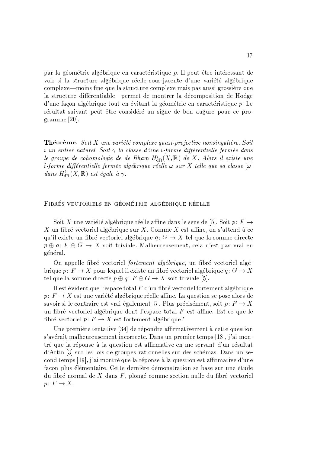par la géométrie algébrique en caractéristique p. Il peut être intéressant de voir si la structure algébrique réelle sous-jacente d'une variété algébrique complexe—moins fine que la structure complexe mais pas aussi grossière que la structure différentiable—permet de montrer la décomposition de Hodge d'une façon algébrique tout en évitant la géométrie en caractéristique p. Le résultat suivant peut être considéré un signe de bon augure pour ce programme  $|20|$ .

**Théorème.** Soit X une variété complexe quasi-projective nonsingulière. Soit i un entier naturel. Soit  $\gamma$  la classe d'une i-forme différentielle fermée dans le groupe de cohomologie de de Rham  $H^i_{\text{dR}}(X,\mathbb{R})$  de X. Alors il existe une *i-forme différentielle fermée algébrique réelle*  $\omega$  sur X telle que sa classe  $[\omega]$ dans  $H_{\rm dR}^i(X,\mathbb{R})$  est égale à  $\gamma$ .

# FIBRÉS VECTORIELS EN GÉOMÉTRIE ALGÉBRIQUE RÉELLE

Soit X une variété algébrique réelle affine dans le sens de [5]. Soit  $p: F \to$ X un fibré vectoriel algébrique sur X. Comme X est affine, on s'attend à ce qu'il existe un fibré vectoriel algébrique  $q: G \to X$  tel que la somme directe  $p \oplus q$ :  $F \oplus G \rightarrow X$  soit triviale. Malheureusement, cela n'est pas vrai en général.

On appelle fibré vectoriel fortement algébrique, un fibré vectoriel algébrique  $p: F \to X$  pour lequel il existe un fibré vectoriel algébrique  $q: G \to X$ tel que la somme directe  $p \oplus q$ :  $F \oplus G \rightarrow X$  soit triviale [5].

Il est évident que l'espace total  $F$  d'un fibré vectoriel fortement algébrique  $p: F \to X$  est une variété algébrique réelle affine. La question se pose alors de savoir si le contraire est vrai également [5]. Plus précisément, soit  $p: F \to X$ un fibré vectoriel algébrique dont l'espace total  $F$  est affine. Est-ce que le fibré vectoriel  $p: F \to X$  est fortement algébrique?

Une première tentative [34] de répondre affirmativement à cette question s'avérait malheureusement incorrecte. Dans un premier temps [18], j'ai montré que la réponse à la question est affirmative en me servant d'un résultat d'Artin [3] sur les lois de groupes rationnelles sur des schémas. Dans un second temps [19], j'ai montré que la réponse à la question est affirmative d'une façon plus élémentaire. Cette dernière démonstration se base sur une étude du fibré normal de  $X$  dans  $F$ , plongé comme section nulle du fibré vectoriel  $p\colon F\to X.$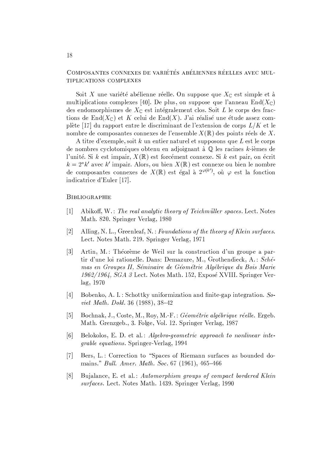# COMPOSANTES CONNEXES DE VARIÉTÉS ABÉLIENNES RÉELLES AVEC MUL-TIPLICATIONS COMPLEXES

Soit X une variété abélienne réelle. On suppose que  $X_{\mathbb{C}}$  est simple et à multiplications complexes [40]. De plus, on suppose que l'anneau  $End(X_{\mathbb{C}})$ des endomorphismes de  $X_{\mathbb{C}}$  est intégralement clos. Soit L le corps des fractions de End $(X_{\mathbb{C}})$  et K celui de End $(X)$ . J'ai réalisé une étude assez complète [17] du rapport entre le discriminant de l'extension de corps  $L/K$  et le nombre de composantes connexes de l'ensemble  $X(\mathbb{R})$  des points réels de X.

A titre d'exemple, soit k un entier naturel et supposons que  $L$  est le corps de nombres cyclotomiques obtenu en adjoignant à  $\mathbb Q$  les racines k-ièmes de l'unité. Si k est impair,  $X(\mathbb{R})$  est forcément connexe. Si k est pair, on écrit  $k = 2<sup>a</sup>k'$  avec k' impair. Alors, ou bien  $X(\mathbb{R})$  est connexe ou bien le nombre de composantes connexes de  $X(\mathbb{R})$  est égal à  $2^{\varphi(k')}$ , où  $\varphi$  est la fonction indicatrice d'Euler [17].

#### **BIBLIOGRAPHIE**

- $|1|$ Abikoff, W.: The real analytic theory of Teichmüller spaces. Lect. Notes Math. 820. Springer Verlag, 1980
- $\lceil 2 \rceil$ Alling, N. L., Greenleaf, N.: Foundations of the theory of Klein surfaces. Lect. Notes Math. 219. Springer Verlag, 1971
- $|3|$ Artin, M.: Théorème de Weil sur la construction d'un groupe a partir d'une loi rationelle. Dans: Demazure, M., Grothendieck, A.: Schémas en Groupes II, Séminaire de Géométrie Algébrique du Bois Marie 1962/1964, SGA 3 Lect. Notes Math. 152, Exposé XVIII. Springer Ver $lag. 1970$
- Bobenko, A. I.: Schottky uniformization and finite-gap integration. So- $\lceil 4 \rceil$ viet Math. Dokl. 36 (1988), 38-42
- $\lceil 5 \rceil$ Bochnak, J., Coste, M., Roy, M.-F.: Géométrie algébrique réelle. Ergeb. Math. Grenzgeb., 3. Folge, Vol. 12. Springer Verlag, 1987
- Belokolos, E. D. et al.: Algebro-geometric approach to nonlinear inte- $|6|$ grable equations. Springer-Verlag, 1994
- Bers, L.: Correction to "Spaces of Riemann surfaces as bounded do- $|7|$ mains." Bull. Amer. Math. Soc. 67 (1961), 465-466
- $\lceil 8 \rceil$ Bujalance, E. et al.: Automorphism groups of compact bordered Klein *surfaces.* Lect. Notes Math. 1439. Springer Verlag, 1990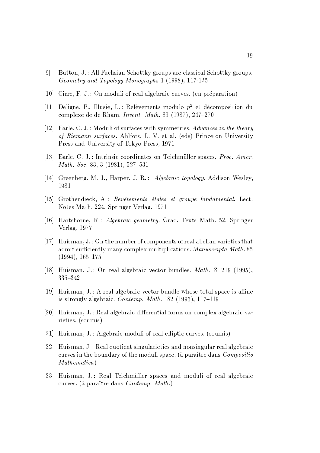- Button, J.: All Fuchsian Schottky groups are classical Schottky groups.  $|9|$ Geometry and Topology Monographs 1 (1998), 117-125
- [10] Cirre, F. J.: On moduli of real algebraic curves. (en préparation)
- [11] Deligne, P., Illusie, L.: Relèvements modulo  $p^2$  et décomposition du complexe de de Rham. Invent. Math. 89 (1987), 247-270
- [12] Earle, C. J.: Moduli of surfaces with symmetries. Advances in the theory of Riemann surfaces. Ahlfors, L. V. et al. (eds) Princeton University Press and University of Tokyo Press, 1971
- [13] Earle, C. J.: Intrinsic coordinates on Teichmüller spaces. *Proc. Amer.* Math. Soc. 83, 3 (1981), 527-531
- [14] Greenberg, M. J., Harper, J. R.: Algebraic topology. Addison Wesley, 1981
- [15] Grothendieck, A.: Revêtements étales et groupe fondamental. Lect. Notes Math. 224. Springer Verlag, 1971
- [16] Hartshorne, R.: Algebraic geometry. Grad. Texts Math. 52. Springer Verlag, 1977
- [17] Huisman,  $J \nvert$ : On the number of components of real abelian varieties that admit sufficiently many complex multiplications. Manuscripta Math. 85  $(1994), 165-175$
- [18] Huisman, J.: On real algebraic vector bundles. *Math. Z.* 219 (1995),  $335 - 342$
- [19] Huisman,  $J \nvert$ : A real algebraic vector bundle whose total space is affine is strongly algebraic. Contemp. Math. 182 (1995), 117-119
- [20] Huisman, J.: Real algebraic differential forms on complex algebraic varieties. (soumis)
- [21] Huisman, J.: Algebraic moduli of real elliptic curves. (soumis)
- [22] Huisman,  $J \cdot$ : Real quotient singularieties and nonsingular real algebraic curves in the boundary of the moduli space. (à paraître dans *Compositio* Mathematica)
- [23] Huisman, J.: Real Teichmüller spaces and moduli of real algebraic curves. (à paraître dans *Contemp. Math.*)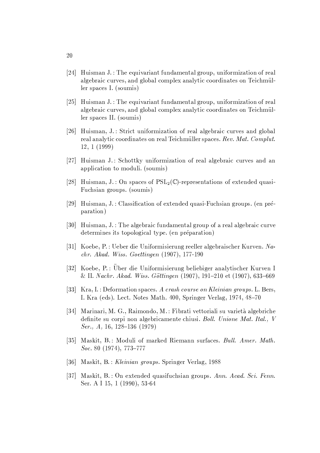- Huisman J.: The equivariant fundamental group, uniformization of real  $|24|$ algebraic curves, and global complex analytic coordinates on Teichmüller spaces I. (soumis)
- [25] Huisman J.: The equivariant fundamental group, uniformization of real algebraic curves, and global complex analytic coordinates on Teichmüller spaces II. (soumis)
- [26] Huisman, J.: Strict uniformization of real algebraic curves and global real analytic coordinates on real Teichmüller spaces. Rev. Mat. Complut.  $12, 1(1999)$
- [27] Huisman J.: Schottky uniformization of real algebraic curves and an application to moduli. (soumis)
- [28] Huisman, J.: On spaces of  $PSL_2(\mathbb{C})$ -representations of extended quasi-Fuchsian groups. (soumis)
- $\left[29\right]$ Huisman, J.: Classification of extended quasi-Fuchsian groups. (en préparation)
- [30] Huisman, J.: The algebraic fundamental group of a real algebraic curve determines its topological type. (en préparation)
- [31] Koebe, P.: Ueber die Uniformisierung reeller algebraischer Kurven. Nachr. Akad. Wiss. Goettingen (1907), 177-190
- [32] Koebe, P.: Über die Uniformisierung beliebiger analytischer Kurven I & II. Nachr. Akad. Wiss. Göttingen (1907), 191–210 et (1907), 633–669
- [33] Kra, I.: Deformation spaces. A crash course on Kleinian groups. L. Bers, I. Kra (eds). Lect. Notes Math. 400, Springer Verlag, 1974, 48-70
- [34] Marinari, M. G., Raimondo, M.: Fibrati vettoriali su varietà algebriche definite su corpi non algebricamente chiusi. Boll. Unione Mat. Ital., V Ser., A, 16, 128-136 (1979)
- [35] Maskit, B.: Moduli of marked Riemann surfaces. Bull. Amer. Math. *Soc.* 80 (1974), 773-777
- [36] Maskit, B.: Kleinian groups. Springer Verlag, 1988
- [37] Maskit, B.: On extended quasifuchsian groups. Ann. Acad. Sci. Fenn. Ser. A I 15, 1 (1990), 53-64